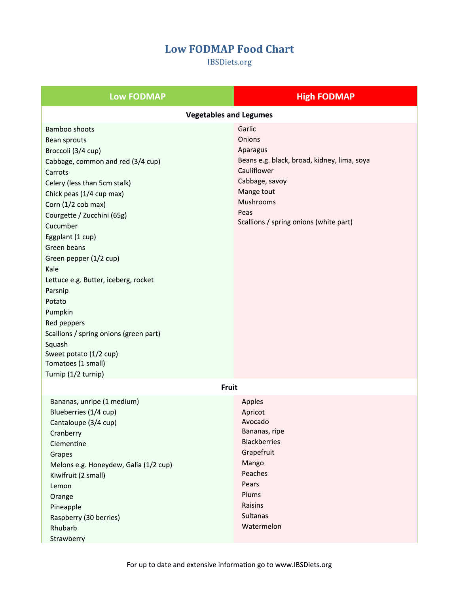## **Low FODMAP Food Chart**

**IBSDiets.org** 

| <b>Low FODMAP</b>                                                                                                                                                                                                                                                                                                                                                                                                                                                                                                             | <b>High FODMAP</b>                                                                                                                                                                        |  |
|-------------------------------------------------------------------------------------------------------------------------------------------------------------------------------------------------------------------------------------------------------------------------------------------------------------------------------------------------------------------------------------------------------------------------------------------------------------------------------------------------------------------------------|-------------------------------------------------------------------------------------------------------------------------------------------------------------------------------------------|--|
| <b>Vegetables and Legumes</b>                                                                                                                                                                                                                                                                                                                                                                                                                                                                                                 |                                                                                                                                                                                           |  |
| <b>Bamboo shoots</b><br>Bean sprouts<br>Broccoli (3/4 cup)<br>Cabbage, common and red (3/4 cup)<br>Carrots<br>Celery (less than 5cm stalk)<br>Chick peas (1/4 cup max)<br>Corn (1/2 cob max)<br>Courgette / Zucchini (65g)<br>Cucumber<br>Eggplant (1 cup)<br>Green beans<br>Green pepper (1/2 cup)<br>Kale<br>Lettuce e.g. Butter, iceberg, rocket<br>Parsnip<br>Potato<br>Pumpkin<br>Red peppers<br>Scallions / spring onions (green part)<br>Squash<br>Sweet potato (1/2 cup)<br>Tomatoes (1 small)<br>Turnip (1/2 turnip) | Garlic<br>Onions<br>Aparagus<br>Beans e.g. black, broad, kidney, lima, soya<br>Cauliflower<br>Cabbage, savoy<br>Mange tout<br>Mushrooms<br>Peas<br>Scallions / spring onions (white part) |  |
| Fruit                                                                                                                                                                                                                                                                                                                                                                                                                                                                                                                         |                                                                                                                                                                                           |  |
| Bananas, unripe (1 medium)<br>Blueberries (1/4 cup)<br>Cantaloupe (3/4 cup)<br>Cranberry<br>Clementine<br>Grapes<br>Melons e.g. Honeydew, Galia (1/2 cup)<br>Kiwifruit (2 small)<br>Lemon<br>Orange<br>Pineapple<br>Raspberry (30 berries)<br>Rhubarb<br>Strawberry                                                                                                                                                                                                                                                           | Apples<br>Apricot<br>Avocado<br>Bananas, ripe<br><b>Blackberries</b><br>Grapefruit<br>Mango<br>Peaches<br>Pears<br>Plums<br>Raisins<br>Sultanas<br>Watermelon                             |  |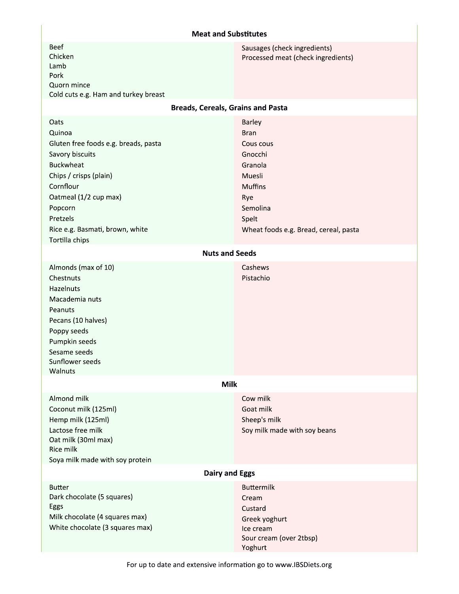## **Meat and Substitutes**

| <b>Beef</b><br>Chicken<br>Lamb<br>Pork<br>Quorn mince<br>Cold cuts e.g. Ham and turkey breast<br><b>Breads, Cereals, Grains and Pasta</b><br>Oats                                                                                 | Sausages (check ingredients)<br>Processed meat (check ingredients)<br>Barley                                                                    |  |
|-----------------------------------------------------------------------------------------------------------------------------------------------------------------------------------------------------------------------------------|-------------------------------------------------------------------------------------------------------------------------------------------------|--|
| Quinoa<br>Gluten free foods e.g. breads, pasta<br>Savory biscuits<br><b>Buckwheat</b><br>Chips / crisps (plain)<br>Cornflour<br>Oatmeal (1/2 cup max)<br>Popcorn<br>Pretzels<br>Rice e.g. Basmati, brown, white<br>Tortilla chips | <b>Bran</b><br>Cous cous<br>Gnocchi<br>Granola<br>Muesli<br><b>Muffins</b><br>Rye<br>Semolina<br>Spelt<br>Wheat foods e.g. Bread, cereal, pasta |  |
| <b>Nuts and Seeds</b>                                                                                                                                                                                                             |                                                                                                                                                 |  |
| Almonds (max of 10)<br>Chestnuts<br>Hazelnuts<br>Macademia nuts<br>Peanuts<br>Pecans (10 halves)<br>Poppy seeds<br>Pumpkin seeds<br>Sesame seeds<br>Sunflower seeds<br>Walnuts                                                    | Cashews<br>Pistachio                                                                                                                            |  |
| <b>Milk</b>                                                                                                                                                                                                                       |                                                                                                                                                 |  |
| Almond milk<br>Coconut milk (125ml)<br>Hemp milk (125ml)<br>Lactose free milk<br>Oat milk (30ml max)<br>Rice milk<br>Soya milk made with soy protein                                                                              | Cow milk<br>Goat milk<br>Sheep's milk<br>Soy milk made with soy beans                                                                           |  |
| <b>Dairy and Eggs</b>                                                                                                                                                                                                             |                                                                                                                                                 |  |
| <b>Butter</b><br>Dark chocolate (5 squares)<br>Eggs<br>Milk chocolate (4 squares max)<br>White chocolate (3 squares max)                                                                                                          | <b>Buttermilk</b><br>Cream<br>Custard<br>Greek yoghurt<br>Ice cream<br>Sour cream (over 2tbsp)<br>Yoghurt                                       |  |